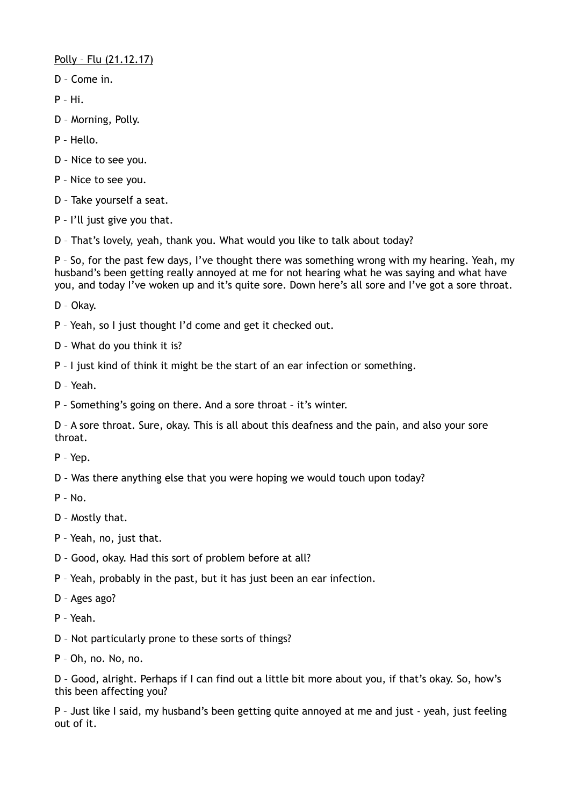Polly – Flu (21.12.17)

- D Come in.
- P Hi.
- D Morning, Polly.
- P Hello.
- D Nice to see you.
- P Nice to see you.
- D Take yourself a seat.
- P I'll just give you that.
- D That's lovely, yeah, thank you. What would you like to talk about today?

P – So, for the past few days, I've thought there was something wrong with my hearing. Yeah, my husband's been getting really annoyed at me for not hearing what he was saying and what have you, and today I've woken up and it's quite sore. Down here's all sore and I've got a sore throat.

D – Okay.

- P Yeah, so I just thought I'd come and get it checked out.
- D What do you think it is?
- P I just kind of think it might be the start of an ear infection or something.
- D Yeah.
- P Something's going on there. And a sore throat it's winter.

D – A sore throat. Sure, okay. This is all about this deafness and the pain, and also your sore throat.

- P Yep.
- D Was there anything else that you were hoping we would touch upon today?
- P No.
- D Mostly that.
- P Yeah, no, just that.
- D Good, okay. Had this sort of problem before at all?
- P Yeah, probably in the past, but it has just been an ear infection.
- D Ages ago?
- P Yeah.
- D Not particularly prone to these sorts of things?
- P Oh, no. No, no.

D – Good, alright. Perhaps if I can find out a little bit more about you, if that's okay. So, how's this been affecting you?

P – Just like I said, my husband's been getting quite annoyed at me and just - yeah, just feeling out of it.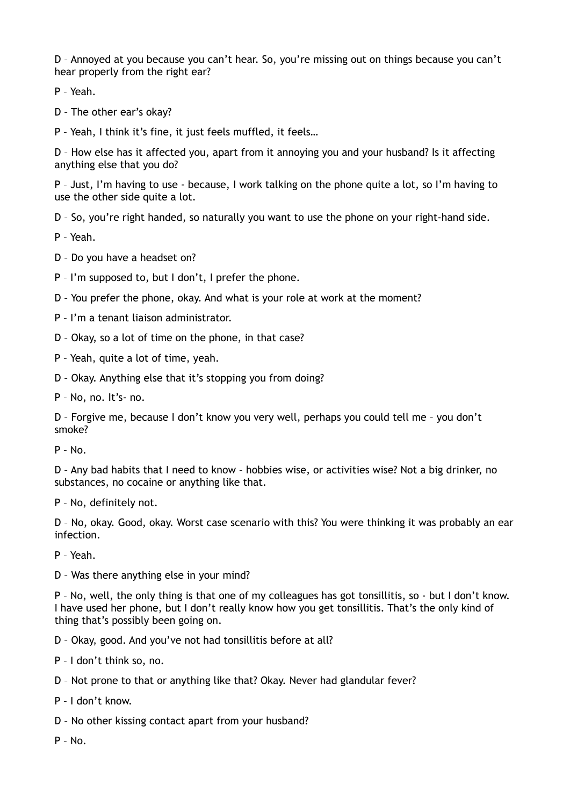D – Annoyed at you because you can't hear. So, you're missing out on things because you can't hear properly from the right ear?

P – Yeah.

D – The other ear's okay?

P – Yeah, I think it's fine, it just feels muffled, it feels…

D – How else has it affected you, apart from it annoying you and your husband? Is it affecting anything else that you do?

P – Just, I'm having to use - because, I work talking on the phone quite a lot, so I'm having to use the other side quite a lot.

D – So, you're right handed, so naturally you want to use the phone on your right-hand side.

P – Yeah.

D – Do you have a headset on?

P – I'm supposed to, but I don't, I prefer the phone.

D – You prefer the phone, okay. And what is your role at work at the moment?

P – I'm a tenant liaison administrator.

D – Okay, so a lot of time on the phone, in that case?

P – Yeah, quite a lot of time, yeah.

D – Okay. Anything else that it's stopping you from doing?

P – No, no. It's- no.

D – Forgive me, because I don't know you very well, perhaps you could tell me – you don't smoke?

 $P - No$ .

D – Any bad habits that I need to know – hobbies wise, or activities wise? Not a big drinker, no substances, no cocaine or anything like that.

P – No, definitely not.

D – No, okay. Good, okay. Worst case scenario with this? You were thinking it was probably an ear infection.

P – Yeah.

D – Was there anything else in your mind?

P – No, well, the only thing is that one of my colleagues has got tonsillitis, so - but I don't know. I have used her phone, but I don't really know how you get tonsillitis. That's the only kind of thing that's possibly been going on.

D – Okay, good. And you've not had tonsillitis before at all?

P – I don't think so, no.

D – Not prone to that or anything like that? Okay. Never had glandular fever?

P – I don't know.

D – No other kissing contact apart from your husband?

 $P - No.$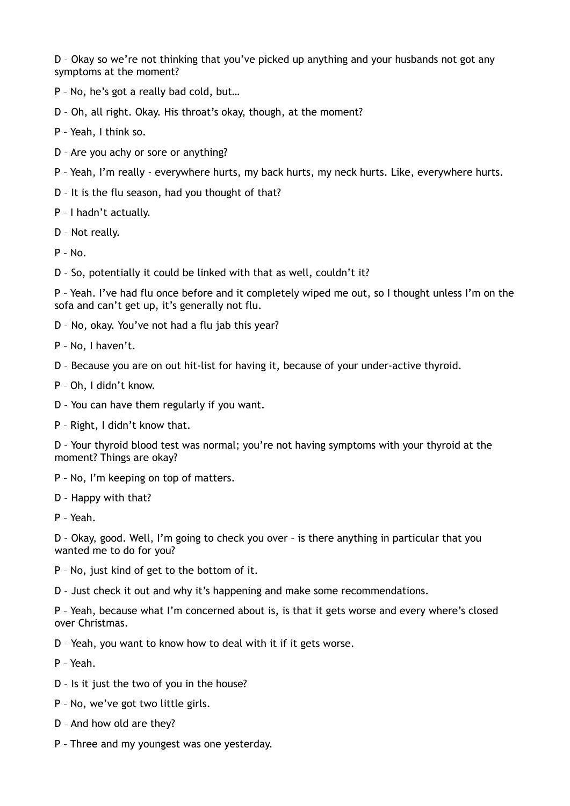D – Okay so we're not thinking that you've picked up anything and your husbands not got any symptoms at the moment?

- P No, he's got a really bad cold, but…
- D Oh, all right. Okay. His throat's okay, though, at the moment?
- P Yeah, I think so.
- D Are you achy or sore or anything?
- P Yeah, I'm really everywhere hurts, my back hurts, my neck hurts. Like, everywhere hurts.
- D It is the flu season, had you thought of that?
- P I hadn't actually.
- D Not really.
- P No.
- D So, potentially it could be linked with that as well, couldn't it?

P – Yeah. I've had flu once before and it completely wiped me out, so I thought unless I'm on the sofa and can't get up, it's generally not flu.

- D No, okay. You've not had a flu jab this year?
- P No, I haven't.

D – Because you are on out hit-list for having it, because of your under-active thyroid.

- P Oh, I didn't know.
- D You can have them regularly if you want.
- P Right, I didn't know that.

D – Your thyroid blood test was normal; you're not having symptoms with your thyroid at the moment? Things are okay?

- P No, I'm keeping on top of matters.
- D Happy with that?
- P Yeah.

D – Okay, good. Well, I'm going to check you over – is there anything in particular that you wanted me to do for you?

- P No, just kind of get to the bottom of it.
- D Just check it out and why it's happening and make some recommendations.

P – Yeah, because what I'm concerned about is, is that it gets worse and every where's closed over Christmas.

- D Yeah, you want to know how to deal with it if it gets worse.
- P Yeah.
- D Is it just the two of you in the house?
- P No, we've got two little girls.
- D And how old are they?
- P Three and my youngest was one yesterday.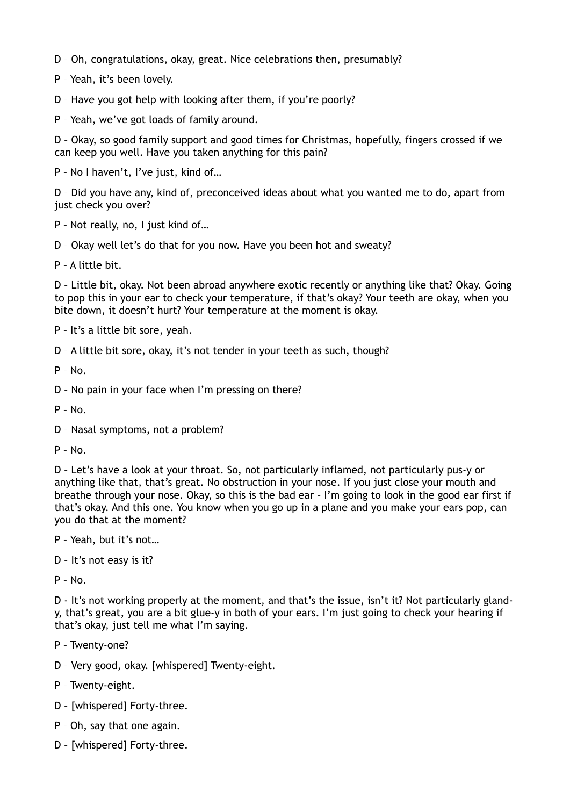D – Oh, congratulations, okay, great. Nice celebrations then, presumably?

P – Yeah, it's been lovely.

D – Have you got help with looking after them, if you're poorly?

P – Yeah, we've got loads of family around.

D – Okay, so good family support and good times for Christmas, hopefully, fingers crossed if we can keep you well. Have you taken anything for this pain?

P – No I haven't, I've just, kind of…

D – Did you have any, kind of, preconceived ideas about what you wanted me to do, apart from just check you over?

P – Not really, no, I just kind of…

D – Okay well let's do that for you now. Have you been hot and sweaty?

P – A little bit.

D – Little bit, okay. Not been abroad anywhere exotic recently or anything like that? Okay. Going to pop this in your ear to check your temperature, if that's okay? Your teeth are okay, when you bite down, it doesn't hurt? Your temperature at the moment is okay.

P – It's a little bit sore, yeah.

D – A little bit sore, okay, it's not tender in your teeth as such, though?

 $P - No.$ 

D – No pain in your face when I'm pressing on there?

 $P - No$ .

- D Nasal symptoms, not a problem?
- P No.

D – Let's have a look at your throat. So, not particularly inflamed, not particularly pus-y or anything like that, that's great. No obstruction in your nose. If you just close your mouth and breathe through your nose. Okay, so this is the bad ear – I'm going to look in the good ear first if that's okay. And this one. You know when you go up in a plane and you make your ears pop, can you do that at the moment?

P – Yeah, but it's not…

D – It's not easy is it?

P – No.

D - It's not working properly at the moment, and that's the issue, isn't it? Not particularly glandy, that's great, you are a bit glue-y in both of your ears. I'm just going to check your hearing if that's okay, just tell me what I'm saying.

P – Twenty-one?

D – Very good, okay. [whispered] Twenty-eight.

P – Twenty-eight.

- D [whispered] Forty-three.
- P Oh, say that one again.
- D [whispered] Forty-three.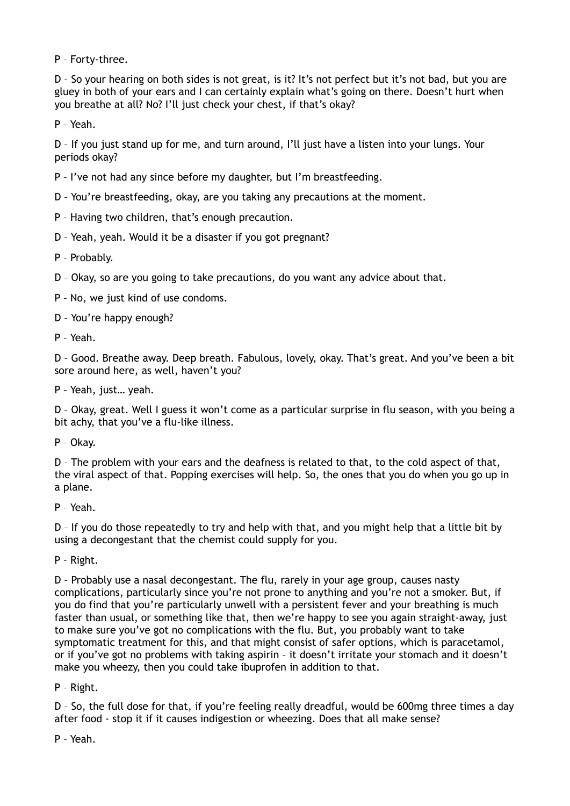P – Forty-three.

D – So your hearing on both sides is not great, is it? It's not perfect but it's not bad, but you are gluey in both of your ears and I can certainly explain what's going on there. Doesn't hurt when you breathe at all? No? I'll just check your chest, if that's okay?

P – Yeah.

D – If you just stand up for me, and turn around, I'll just have a listen into your lungs. Your periods okay?

P – I've not had any since before my daughter, but I'm breastfeeding.

D – You're breastfeeding, okay, are you taking any precautions at the moment.

P – Having two children, that's enough precaution.

D – Yeah, yeah. Would it be a disaster if you got pregnant?

P – Probably.

D – Okay, so are you going to take precautions, do you want any advice about that.

P – No, we just kind of use condoms.

D – You're happy enough?

P – Yeah.

D – Good. Breathe away. Deep breath. Fabulous, lovely, okay. That's great. And you've been a bit sore around here, as well, haven't you?

P – Yeah, just… yeah.

D – Okay, great. Well I guess it won't come as a particular surprise in flu season, with you being a bit achy, that you've a flu-like illness.

P – Okay.

D – The problem with your ears and the deafness is related to that, to the cold aspect of that, the viral aspect of that. Popping exercises will help. So, the ones that you do when you go up in a plane.

P – Yeah.

D – If you do those repeatedly to try and help with that, and you might help that a little bit by using a decongestant that the chemist could supply for you.

P – Right.

D – Probably use a nasal decongestant. The flu, rarely in your age group, causes nasty complications, particularly since you're not prone to anything and you're not a smoker. But, if you do find that you're particularly unwell with a persistent fever and your breathing is much faster than usual, or something like that, then we're happy to see you again straight-away, just to make sure you've got no complications with the flu. But, you probably want to take symptomatic treatment for this, and that might consist of safer options, which is paracetamol, or if you've got no problems with taking aspirin – it doesn't irritate your stomach and it doesn't make you wheezy, then you could take ibuprofen in addition to that.

P – Right.

D – So, the full dose for that, if you're feeling really dreadful, would be 600mg three times a day after food - stop it if it causes indigestion or wheezing. Does that all make sense?

P – Yeah.